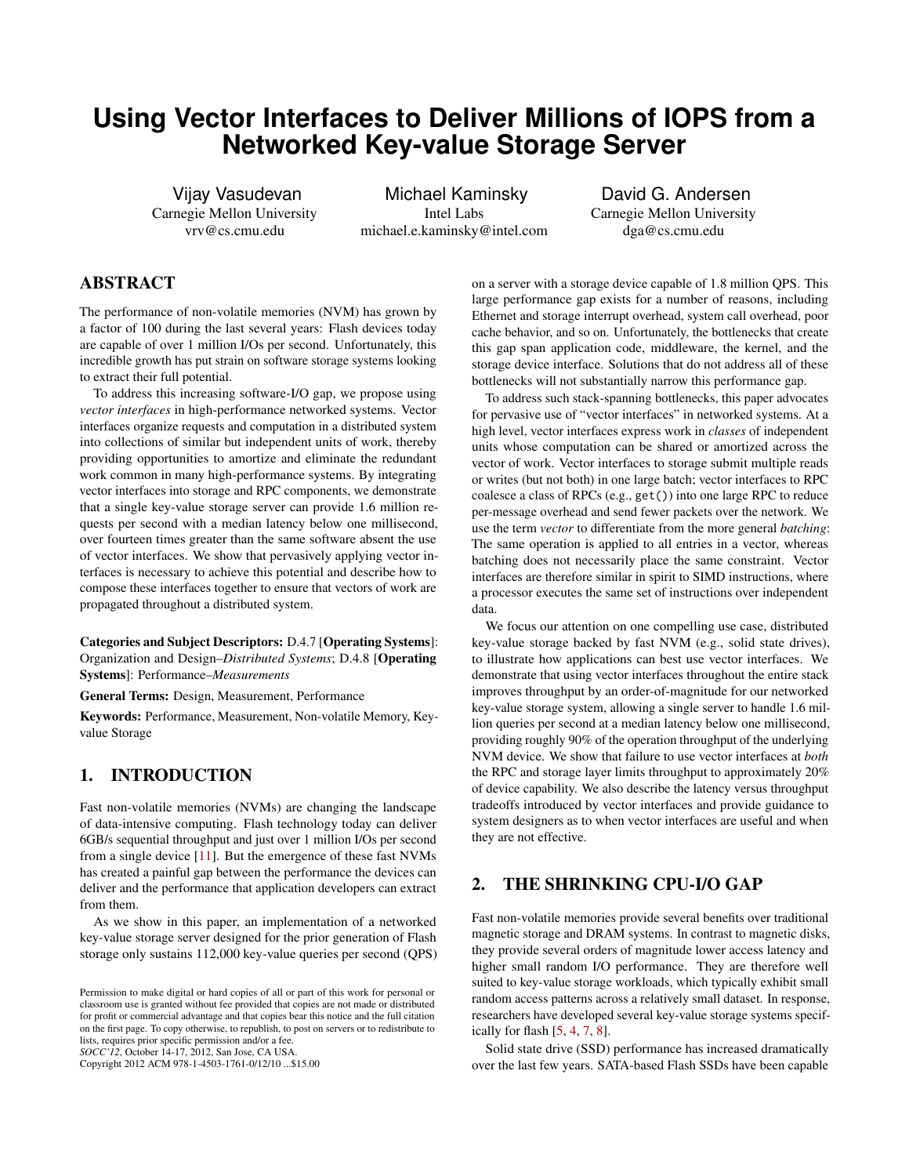# **Using Vector Interfaces to Deliver Millions of IOPS from a Networked Key-value Storage Server**

Vijay Vasudevan Carnegie Mellon University vrv@cs.cmu.edu

Michael Kaminsky Intel Labs michael.e.kaminsky@intel.com

David G. Andersen Carnegie Mellon University dga@cs.cmu.edu

# ABSTRACT

The performance of non-volatile memories (NVM) has grown by a factor of 100 during the last several years: Flash devices today are capable of over 1 million I/Os per second. Unfortunately, this incredible growth has put strain on software storage systems looking to extract their full potential.

To address this increasing software-I/O gap, we propose using *vector interfaces* in high-performance networked systems. Vector interfaces organize requests and computation in a distributed system into collections of similar but independent units of work, thereby providing opportunities to amortize and eliminate the redundant work common in many high-performance systems. By integrating vector interfaces into storage and RPC components, we demonstrate that a single key-value storage server can provide 1.6 million requests per second with a median latency below one millisecond, over fourteen times greater than the same software absent the use of vector interfaces. We show that pervasively applying vector interfaces is necessary to achieve this potential and describe how to compose these interfaces together to ensure that vectors of work are propagated throughout a distributed system.

Categories and Subject Descriptors: D.4.7 [Operating Systems]: Organization and Design–*Distributed Systems*; D.4.8 [Operating Systems]: Performance–*Measurements*

General Terms: Design, Measurement, Performance

Keywords: Performance, Measurement, Non-volatile Memory, Keyvalue Storage

# 1. INTRODUCTION

Fast non-volatile memories (NVMs) are changing the landscape of data-intensive computing. Flash technology today can deliver 6GB/s sequential throughput and just over 1 million I/Os per second from a single device [\[11\]](#page-11-0). But the emergence of these fast NVMs has created a painful gap between the performance the devices can deliver and the performance that application developers can extract from them.

As we show in this paper, an implementation of a networked key-value storage server designed for the prior generation of Flash storage only sustains 112,000 key-value queries per second (QPS)

*SOCC'12*, October 14-17, 2012, San Jose, CA USA.

Copyright 2012 ACM 978-1-4503-1761-0/12/10 ...\$15.00

on a server with a storage device capable of 1.8 million QPS. This large performance gap exists for a number of reasons, including Ethernet and storage interrupt overhead, system call overhead, poor cache behavior, and so on. Unfortunately, the bottlenecks that create this gap span application code, middleware, the kernel, and the storage device interface. Solutions that do not address all of these bottlenecks will not substantially narrow this performance gap.

To address such stack-spanning bottlenecks, this paper advocates for pervasive use of "vector interfaces" in networked systems. At a high level, vector interfaces express work in *classes* of independent units whose computation can be shared or amortized across the vector of work. Vector interfaces to storage submit multiple reads or writes (but not both) in one large batch; vector interfaces to RPC coalesce a class of RPCs (e.g., get()) into one large RPC to reduce per-message overhead and send fewer packets over the network. We use the term *vector* to differentiate from the more general *batching*: The same operation is applied to all entries in a vector, whereas batching does not necessarily place the same constraint. Vector interfaces are therefore similar in spirit to SIMD instructions, where a processor executes the same set of instructions over independent data.

We focus our attention on one compelling use case, distributed key-value storage backed by fast NVM (e.g., solid state drives), to illustrate how applications can best use vector interfaces. We demonstrate that using vector interfaces throughout the entire stack improves throughput by an order-of-magnitude for our networked key-value storage system, allowing a single server to handle 1.6 million queries per second at a median latency below one millisecond, providing roughly 90% of the operation throughput of the underlying NVM device. We show that failure to use vector interfaces at *both* the RPC and storage layer limits throughput to approximately 20% of device capability. We also describe the latency versus throughput tradeoffs introduced by vector interfaces and provide guidance to system designers as to when vector interfaces are useful and when they are not effective.

# 2. THE SHRINKING CPU-I/O GAP

Fast non-volatile memories provide several benefits over traditional magnetic storage and DRAM systems. In contrast to magnetic disks, they provide several orders of magnitude lower access latency and higher small random I/O performance. They are therefore well suited to key-value storage workloads, which typically exhibit small random access patterns across a relatively small dataset. In response, researchers have developed several key-value storage systems specifically for flash [\[5,](#page-11-1) [4,](#page-11-2) [7,](#page-11-3) [8\]](#page-11-4).

Solid state drive (SSD) performance has increased dramatically over the last few years. SATA-based Flash SSDs have been capable

Permission to make digital or hard copies of all or part of this work for personal or classroom use is granted without fee provided that copies are not made or distributed for profit or commercial advantage and that copies bear this notice and the full citation on the first page. To copy otherwise, to republish, to post on servers or to redistribute to lists, requires prior specific permission and/or a fee.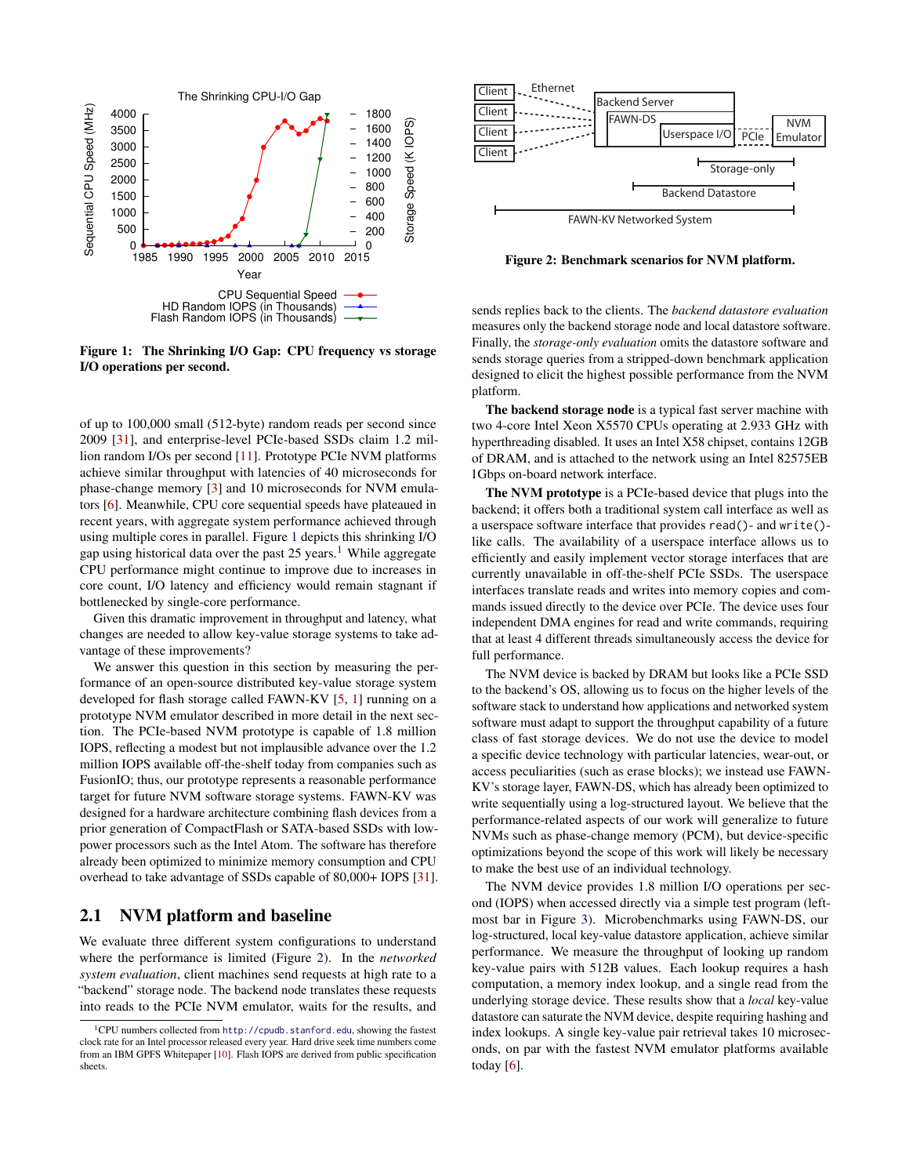<span id="page-1-0"></span>

Figure 1: The Shrinking I/O Gap: CPU frequency vs storage I/O operations per second.

of up to 100,000 small (512-byte) random reads per second since 2009 [\[31\]](#page-11-5), and enterprise-level PCIe-based SSDs claim 1.2 million random I/Os per second [\[11\]](#page-11-0). Prototype PCIe NVM platforms achieve similar throughput with latencies of 40 microseconds for phase-change memory [\[3\]](#page-11-6) and 10 microseconds for NVM emulators [\[6\]](#page-11-7). Meanwhile, CPU core sequential speeds have plateaued in recent years, with aggregate system performance achieved through using multiple cores in parallel. Figure [1](#page-1-0) depicts this shrinking I/O gap using historical data over the past  $25$  years.<sup>[1](#page-1-1)</sup> While aggregate CPU performance might continue to improve due to increases in core count, I/O latency and efficiency would remain stagnant if bottlenecked by single-core performance.

Given this dramatic improvement in throughput and latency, what changes are needed to allow key-value storage systems to take advantage of these improvements?

We answer this question in this section by measuring the performance of an open-source distributed key-value storage system developed for flash storage called FAWN-KV [\[5,](#page-11-1) [1\]](#page-11-8) running on a prototype NVM emulator described in more detail in the next section. The PCIe-based NVM prototype is capable of 1.8 million IOPS, reflecting a modest but not implausible advance over the 1.2 million IOPS available off-the-shelf today from companies such as FusionIO; thus, our prototype represents a reasonable performance target for future NVM software storage systems. FAWN-KV was designed for a hardware architecture combining flash devices from a prior generation of CompactFlash or SATA-based SSDs with lowpower processors such as the Intel Atom. The software has therefore already been optimized to minimize memory consumption and CPU overhead to take advantage of SSDs capable of 80,000+ IOPS [\[31\]](#page-11-5).

## 2.1 NVM platform and baseline

We evaluate three different system configurations to understand where the performance is limited (Figure [2\)](#page-1-2). In the *networked system evaluation*, client machines send requests at high rate to a "backend" storage node. The backend node translates these requests into reads to the PCIe NVM emulator, waits for the results, and

<span id="page-1-2"></span>

Figure 2: Benchmark scenarios for NVM platform.

sends replies back to the clients. The *backend datastore evaluation* measures only the backend storage node and local datastore software. Finally, the *storage-only evaluation* omits the datastore software and sends storage queries from a stripped-down benchmark application designed to elicit the highest possible performance from the NVM platform.

The backend storage node is a typical fast server machine with two 4-core Intel Xeon X5570 CPUs operating at 2.933 GHz with hyperthreading disabled. It uses an Intel X58 chipset, contains 12GB of DRAM, and is attached to the network using an Intel 82575EB 1Gbps on-board network interface.

The NVM prototype is a PCIe-based device that plugs into the backend; it offers both a traditional system call interface as well as a userspace software interface that provides read()- and write() like calls. The availability of a userspace interface allows us to efficiently and easily implement vector storage interfaces that are currently unavailable in off-the-shelf PCIe SSDs. The userspace interfaces translate reads and writes into memory copies and commands issued directly to the device over PCIe. The device uses four independent DMA engines for read and write commands, requiring that at least 4 different threads simultaneously access the device for full performance.

The NVM device is backed by DRAM but looks like a PCIe SSD to the backend's OS, allowing us to focus on the higher levels of the software stack to understand how applications and networked system software must adapt to support the throughput capability of a future class of fast storage devices. We do not use the device to model a specific device technology with particular latencies, wear-out, or access peculiarities (such as erase blocks); we instead use FAWN-KV's storage layer, FAWN-DS, which has already been optimized to write sequentially using a log-structured layout. We believe that the performance-related aspects of our work will generalize to future NVMs such as phase-change memory (PCM), but device-specific optimizations beyond the scope of this work will likely be necessary to make the best use of an individual technology.

The NVM device provides 1.8 million I/O operations per second (IOPS) when accessed directly via a simple test program (leftmost bar in Figure [3\)](#page-2-0). Microbenchmarks using FAWN-DS, our log-structured, local key-value datastore application, achieve similar performance. We measure the throughput of looking up random key-value pairs with 512B values. Each lookup requires a hash computation, a memory index lookup, and a single read from the underlying storage device. These results show that a *local* key-value datastore can saturate the NVM device, despite requiring hashing and index lookups. A single key-value pair retrieval takes 10 microseconds, on par with the fastest NVM emulator platforms available today [\[6\]](#page-11-7).

<span id="page-1-1"></span><sup>&</sup>lt;sup>1</sup>CPU numbers collected from <http://cpudb.stanford.edu>, showing the fastest clock rate for an Intel processor released every year. Hard drive seek time numbers come from an IBM GPFS Whitepaper [\[10\]](#page-11-9). Flash IOPS are derived from public specification sheets.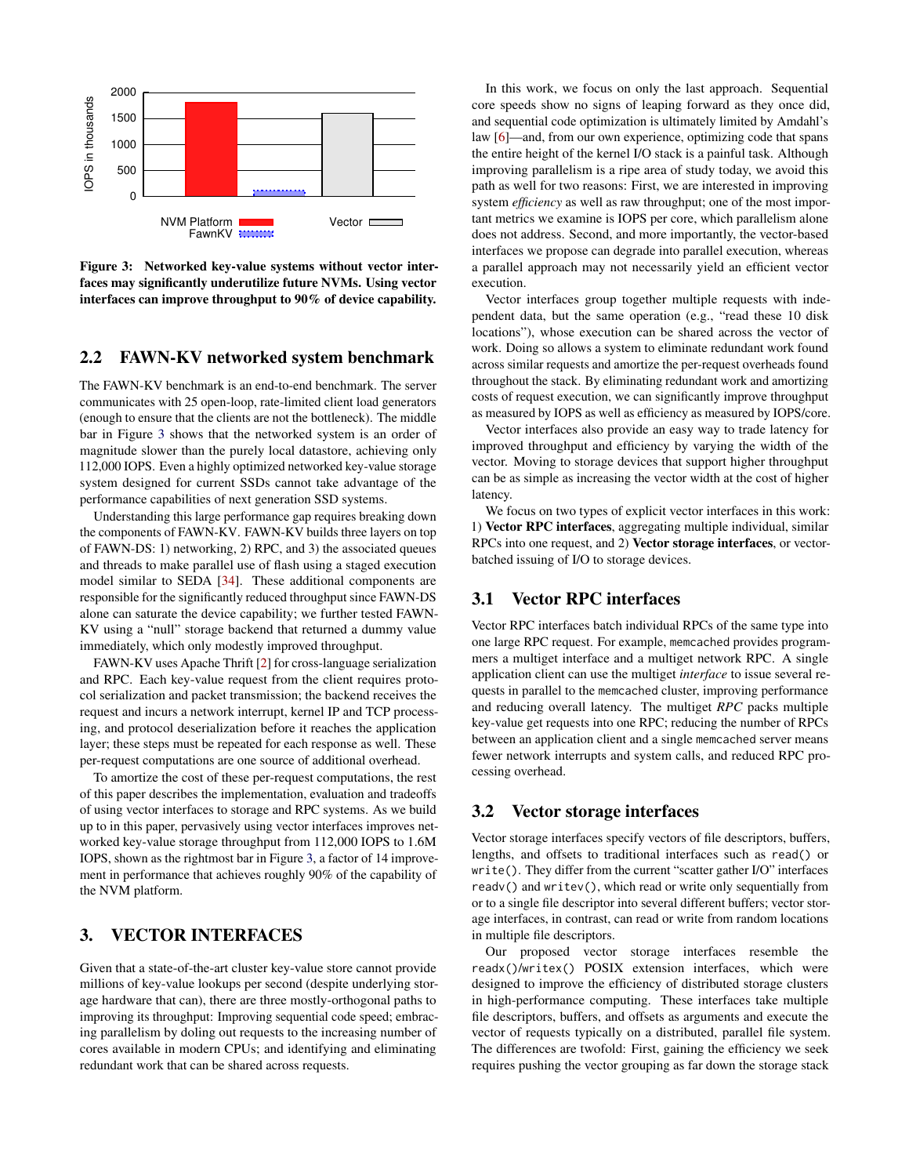<span id="page-2-0"></span>

Figure 3: Networked key-value systems without vector interfaces may significantly underutilize future NVMs. Using vector interfaces can improve throughput to 90% of device capability.

#### 2.2 FAWN-KV networked system benchmark

The FAWN-KV benchmark is an end-to-end benchmark. The server communicates with 25 open-loop, rate-limited client load generators (enough to ensure that the clients are not the bottleneck). The middle bar in Figure [3](#page-2-0) shows that the networked system is an order of magnitude slower than the purely local datastore, achieving only 112,000 IOPS. Even a highly optimized networked key-value storage system designed for current SSDs cannot take advantage of the performance capabilities of next generation SSD systems.

Understanding this large performance gap requires breaking down the components of FAWN-KV. FAWN-KV builds three layers on top of FAWN-DS: 1) networking, 2) RPC, and 3) the associated queues and threads to make parallel use of flash using a staged execution model similar to SEDA [\[34\]](#page-12-0). These additional components are responsible for the significantly reduced throughput since FAWN-DS alone can saturate the device capability; we further tested FAWN-KV using a "null" storage backend that returned a dummy value immediately, which only modestly improved throughput.

FAWN-KV uses Apache Thrift [\[2\]](#page-11-10) for cross-language serialization and RPC. Each key-value request from the client requires protocol serialization and packet transmission; the backend receives the request and incurs a network interrupt, kernel IP and TCP processing, and protocol deserialization before it reaches the application layer; these steps must be repeated for each response as well. These per-request computations are one source of additional overhead.

To amortize the cost of these per-request computations, the rest of this paper describes the implementation, evaluation and tradeoffs of using vector interfaces to storage and RPC systems. As we build up to in this paper, pervasively using vector interfaces improves networked key-value storage throughput from 112,000 IOPS to 1.6M IOPS, shown as the rightmost bar in Figure [3,](#page-2-0) a factor of 14 improvement in performance that achieves roughly 90% of the capability of the NVM platform.

# 3. VECTOR INTERFACES

Given that a state-of-the-art cluster key-value store cannot provide millions of key-value lookups per second (despite underlying storage hardware that can), there are three mostly-orthogonal paths to improving its throughput: Improving sequential code speed; embracing parallelism by doling out requests to the increasing number of cores available in modern CPUs; and identifying and eliminating redundant work that can be shared across requests.

In this work, we focus on only the last approach. Sequential core speeds show no signs of leaping forward as they once did, and sequential code optimization is ultimately limited by Amdahl's law [\[6\]](#page-11-7)—and, from our own experience, optimizing code that spans the entire height of the kernel I/O stack is a painful task. Although improving parallelism is a ripe area of study today, we avoid this path as well for two reasons: First, we are interested in improving system *efficiency* as well as raw throughput; one of the most important metrics we examine is IOPS per core, which parallelism alone does not address. Second, and more importantly, the vector-based interfaces we propose can degrade into parallel execution, whereas a parallel approach may not necessarily yield an efficient vector execution.

Vector interfaces group together multiple requests with independent data, but the same operation (e.g., "read these 10 disk locations"), whose execution can be shared across the vector of work. Doing so allows a system to eliminate redundant work found across similar requests and amortize the per-request overheads found throughout the stack. By eliminating redundant work and amortizing costs of request execution, we can significantly improve throughput as measured by IOPS as well as efficiency as measured by IOPS/core.

Vector interfaces also provide an easy way to trade latency for improved throughput and efficiency by varying the width of the vector. Moving to storage devices that support higher throughput can be as simple as increasing the vector width at the cost of higher latency.

We focus on two types of explicit vector interfaces in this work: 1) Vector RPC interfaces, aggregating multiple individual, similar RPCs into one request, and 2) Vector storage interfaces, or vectorbatched issuing of I/O to storage devices.

## 3.1 Vector RPC interfaces

Vector RPC interfaces batch individual RPCs of the same type into one large RPC request. For example, memcached provides programmers a multiget interface and a multiget network RPC. A single application client can use the multiget *interface* to issue several requests in parallel to the memcached cluster, improving performance and reducing overall latency. The multiget *RPC* packs multiple key-value get requests into one RPC; reducing the number of RPCs between an application client and a single memcached server means fewer network interrupts and system calls, and reduced RPC processing overhead.

## 3.2 Vector storage interfaces

Vector storage interfaces specify vectors of file descriptors, buffers, lengths, and offsets to traditional interfaces such as read() or write(). They differ from the current "scatter gather I/O" interfaces readv() and writev(), which read or write only sequentially from or to a single file descriptor into several different buffers; vector storage interfaces, in contrast, can read or write from random locations in multiple file descriptors.

Our proposed vector storage interfaces resemble the readx()/writex() POSIX extension interfaces, which were designed to improve the efficiency of distributed storage clusters in high-performance computing. These interfaces take multiple file descriptors, buffers, and offsets as arguments and execute the vector of requests typically on a distributed, parallel file system. The differences are twofold: First, gaining the efficiency we seek requires pushing the vector grouping as far down the storage stack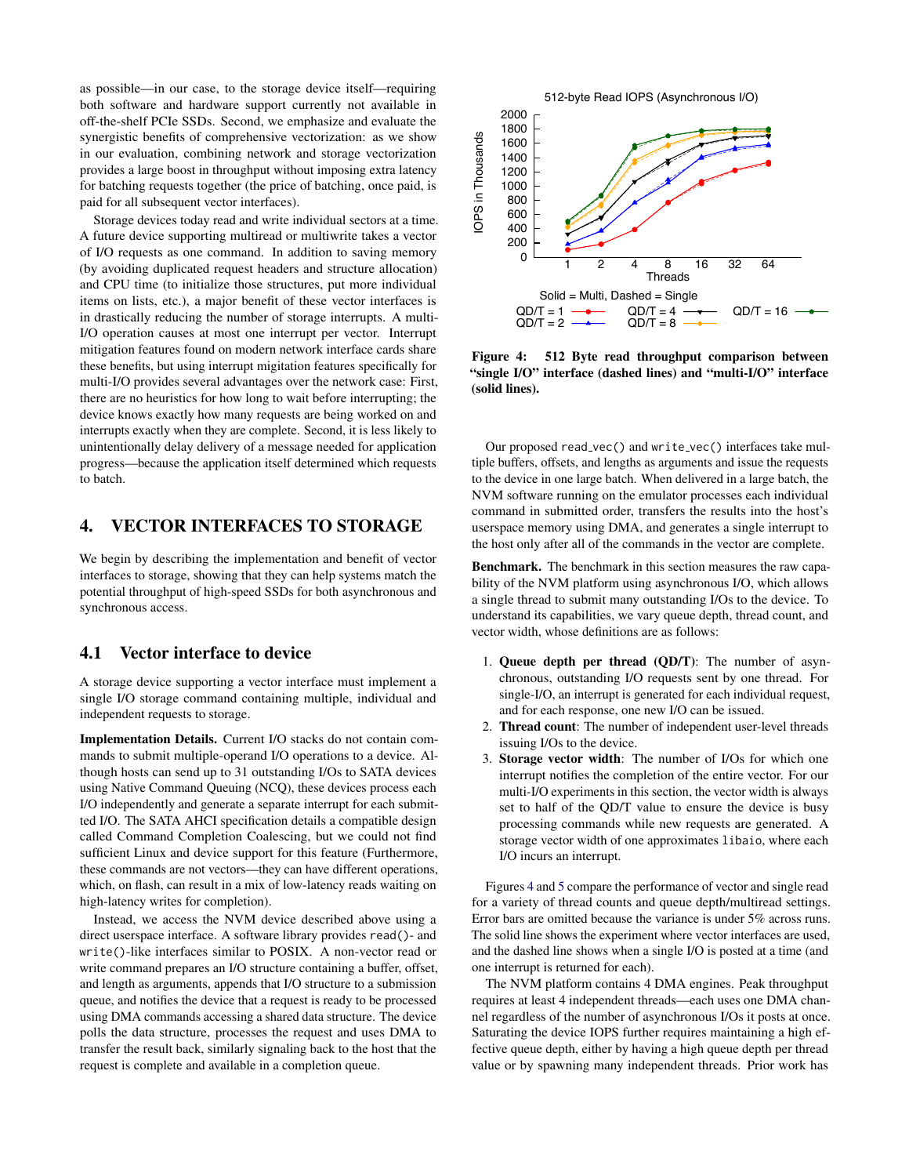as possible—in our case, to the storage device itself—requiring both software and hardware support currently not available in off-the-shelf PCIe SSDs. Second, we emphasize and evaluate the synergistic benefits of comprehensive vectorization: as we show in our evaluation, combining network and storage vectorization provides a large boost in throughput without imposing extra latency for batching requests together (the price of batching, once paid, is paid for all subsequent vector interfaces).

Storage devices today read and write individual sectors at a time. A future device supporting multiread or multiwrite takes a vector of I/O requests as one command. In addition to saving memory (by avoiding duplicated request headers and structure allocation) and CPU time (to initialize those structures, put more individual items on lists, etc.), a major benefit of these vector interfaces is in drastically reducing the number of storage interrupts. A multi-I/O operation causes at most one interrupt per vector. Interrupt mitigation features found on modern network interface cards share these benefits, but using interrupt migitation features specifically for multi-I/O provides several advantages over the network case: First, there are no heuristics for how long to wait before interrupting; the device knows exactly how many requests are being worked on and interrupts exactly when they are complete. Second, it is less likely to unintentionally delay delivery of a message needed for application progress—because the application itself determined which requests to batch.

# 4. VECTOR INTERFACES TO STORAGE

We begin by describing the implementation and benefit of vector interfaces to storage, showing that they can help systems match the potential throughput of high-speed SSDs for both asynchronous and synchronous access.

## 4.1 Vector interface to device

A storage device supporting a vector interface must implement a single I/O storage command containing multiple, individual and independent requests to storage.

Implementation Details. Current I/O stacks do not contain commands to submit multiple-operand I/O operations to a device. Although hosts can send up to 31 outstanding I/Os to SATA devices using Native Command Queuing (NCQ), these devices process each I/O independently and generate a separate interrupt for each submitted I/O. The SATA AHCI specification details a compatible design called Command Completion Coalescing, but we could not find sufficient Linux and device support for this feature (Furthermore, these commands are not vectors—they can have different operations, which, on flash, can result in a mix of low-latency reads waiting on high-latency writes for completion).

Instead, we access the NVM device described above using a direct userspace interface. A software library provides read()- and write()-like interfaces similar to POSIX. A non-vector read or write command prepares an I/O structure containing a buffer, offset, and length as arguments, appends that I/O structure to a submission queue, and notifies the device that a request is ready to be processed using DMA commands accessing a shared data structure. The device polls the data structure, processes the request and uses DMA to transfer the result back, similarly signaling back to the host that the request is complete and available in a completion queue.

<span id="page-3-0"></span>

Figure 4: 512 Byte read throughput comparison between "single I/O" interface (dashed lines) and "multi-I/O" interface (solid lines).

Our proposed read vec() and write vec() interfaces take multiple buffers, offsets, and lengths as arguments and issue the requests to the device in one large batch. When delivered in a large batch, the NVM software running on the emulator processes each individual command in submitted order, transfers the results into the host's userspace memory using DMA, and generates a single interrupt to the host only after all of the commands in the vector are complete.

Benchmark. The benchmark in this section measures the raw capability of the NVM platform using asynchronous I/O, which allows a single thread to submit many outstanding I/Os to the device. To understand its capabilities, we vary queue depth, thread count, and vector width, whose definitions are as follows:

- 1. Queue depth per thread (QD/T): The number of asynchronous, outstanding I/O requests sent by one thread. For single-I/O, an interrupt is generated for each individual request, and for each response, one new I/O can be issued.
- 2. Thread count: The number of independent user-level threads issuing I/Os to the device.
- 3. Storage vector width: The number of I/Os for which one interrupt notifies the completion of the entire vector. For our multi-I/O experiments in this section, the vector width is always set to half of the QD/T value to ensure the device is busy processing commands while new requests are generated. A storage vector width of one approximates libaio, where each I/O incurs an interrupt.

Figures [4](#page-3-0) and [5](#page-4-0) compare the performance of vector and single read for a variety of thread counts and queue depth/multiread settings. Error bars are omitted because the variance is under 5% across runs. The solid line shows the experiment where vector interfaces are used, and the dashed line shows when a single I/O is posted at a time (and one interrupt is returned for each).

The NVM platform contains 4 DMA engines. Peak throughput requires at least 4 independent threads—each uses one DMA channel regardless of the number of asynchronous I/Os it posts at once. Saturating the device IOPS further requires maintaining a high effective queue depth, either by having a high queue depth per thread value or by spawning many independent threads. Prior work has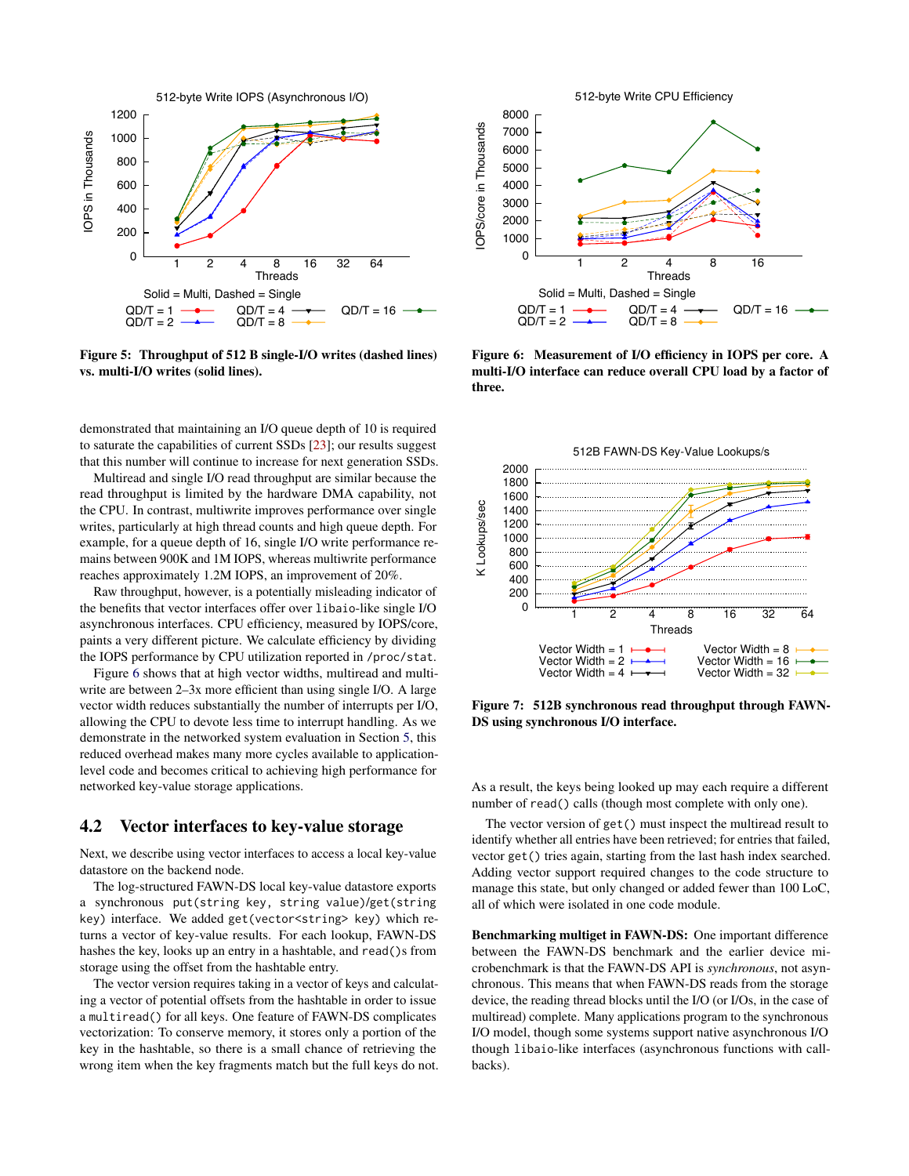<span id="page-4-0"></span>

Figure 5: Throughput of 512 B single-I/O writes (dashed lines) vs. multi-I/O writes (solid lines).

demonstrated that maintaining an I/O queue depth of 10 is required to saturate the capabilities of current SSDs [\[23\]](#page-11-11); our results suggest that this number will continue to increase for next generation SSDs.

Multiread and single I/O read throughput are similar because the read throughput is limited by the hardware DMA capability, not the CPU. In contrast, multiwrite improves performance over single writes, particularly at high thread counts and high queue depth. For example, for a queue depth of 16, single I/O write performance remains between 900K and 1M IOPS, whereas multiwrite performance reaches approximately 1.2M IOPS, an improvement of 20%.

Raw throughput, however, is a potentially misleading indicator of the benefits that vector interfaces offer over libaio-like single I/O asynchronous interfaces. CPU efficiency, measured by IOPS/core, paints a very different picture. We calculate efficiency by dividing the IOPS performance by CPU utilization reported in /proc/stat.

Figure [6](#page-4-1) shows that at high vector widths, multiread and multiwrite are between 2–3x more efficient than using single I/O. A large vector width reduces substantially the number of interrupts per I/O, allowing the CPU to devote less time to interrupt handling. As we demonstrate in the networked system evaluation in Section [5,](#page-5-0) this reduced overhead makes many more cycles available to applicationlevel code and becomes critical to achieving high performance for networked key-value storage applications.

#### 4.2 Vector interfaces to key-value storage

Next, we describe using vector interfaces to access a local key-value datastore on the backend node.

The log-structured FAWN-DS local key-value datastore exports a synchronous put(string key, string value)/get(string key) interface. We added get(vector<string> key) which returns a vector of key-value results. For each lookup, FAWN-DS hashes the key, looks up an entry in a hashtable, and read()s from storage using the offset from the hashtable entry.

The vector version requires taking in a vector of keys and calculating a vector of potential offsets from the hashtable in order to issue a multiread() for all keys. One feature of FAWN-DS complicates vectorization: To conserve memory, it stores only a portion of the key in the hashtable, so there is a small chance of retrieving the wrong item when the key fragments match but the full keys do not.

<span id="page-4-1"></span>

Figure 6: Measurement of I/O efficiency in IOPS per core. A multi-I/O interface can reduce overall CPU load by a factor of three.

<span id="page-4-2"></span>

Figure 7: 512B synchronous read throughput through FAWN-DS using synchronous I/O interface.

As a result, the keys being looked up may each require a different number of read() calls (though most complete with only one).

The vector version of get() must inspect the multiread result to identify whether all entries have been retrieved; for entries that failed, vector get() tries again, starting from the last hash index searched. Adding vector support required changes to the code structure to manage this state, but only changed or added fewer than 100 LoC, all of which were isolated in one code module.

Benchmarking multiget in FAWN-DS: One important difference between the FAWN-DS benchmark and the earlier device microbenchmark is that the FAWN-DS API is *synchronous*, not asynchronous. This means that when FAWN-DS reads from the storage device, the reading thread blocks until the I/O (or I/Os, in the case of multiread) complete. Many applications program to the synchronous I/O model, though some systems support native asynchronous I/O though libaio-like interfaces (asynchronous functions with callbacks).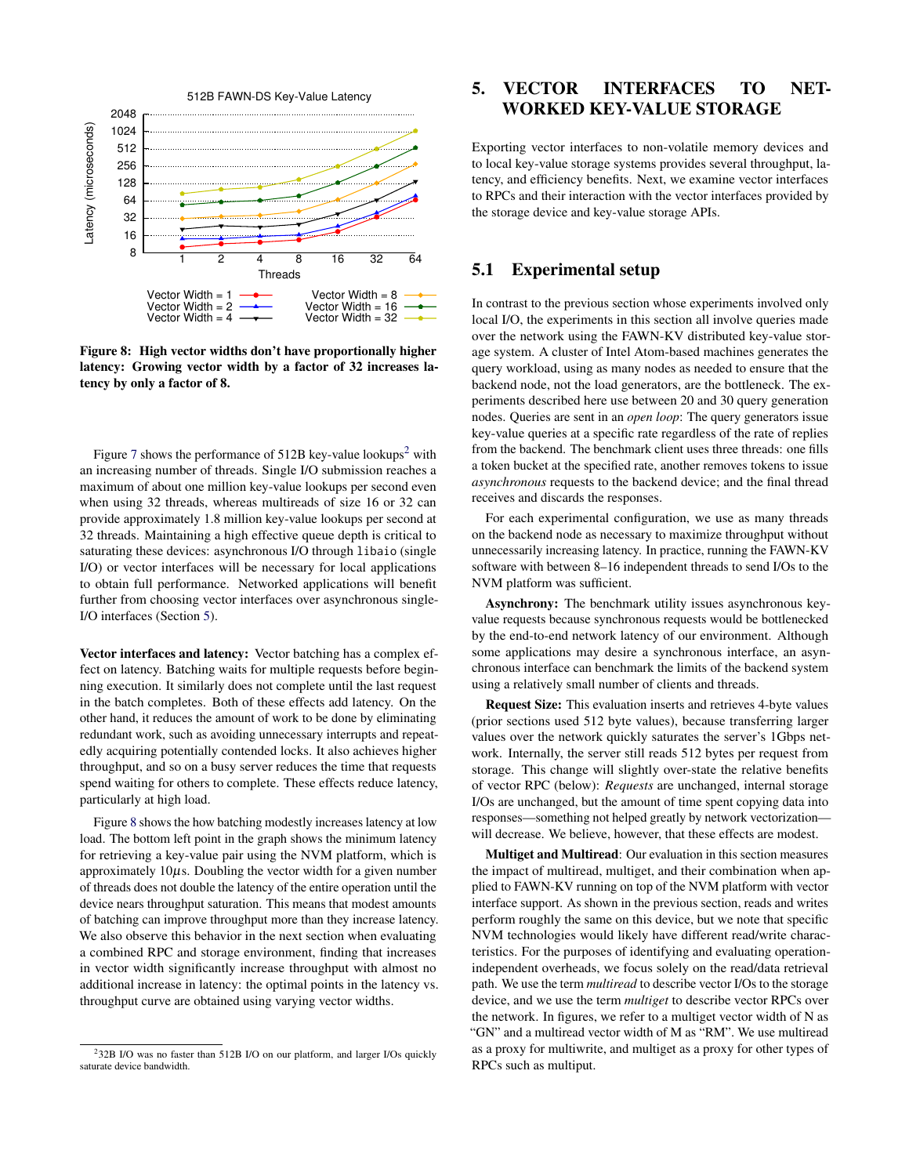<span id="page-5-2"></span>

Figure 8: High vector widths don't have proportionally higher latency: Growing vector width by a factor of 32 increases latency by only a factor of 8.

Figure [7](#page-4-2) shows the performance of  $512B$  $512B$  $512B$  key-value lookups<sup>2</sup> with an increasing number of threads. Single I/O submission reaches a maximum of about one million key-value lookups per second even when using 32 threads, whereas multireads of size 16 or 32 can provide approximately 1.8 million key-value lookups per second at 32 threads. Maintaining a high effective queue depth is critical to saturating these devices: asynchronous I/O through libaio (single I/O) or vector interfaces will be necessary for local applications to obtain full performance. Networked applications will benefit further from choosing vector interfaces over asynchronous single-I/O interfaces (Section [5\)](#page-5-0).

Vector interfaces and latency: Vector batching has a complex effect on latency. Batching waits for multiple requests before beginning execution. It similarly does not complete until the last request in the batch completes. Both of these effects add latency. On the other hand, it reduces the amount of work to be done by eliminating redundant work, such as avoiding unnecessary interrupts and repeatedly acquiring potentially contended locks. It also achieves higher throughput, and so on a busy server reduces the time that requests spend waiting for others to complete. These effects reduce latency, particularly at high load.

Figure [8](#page-5-2) shows the how batching modestly increases latency at low load. The bottom left point in the graph shows the minimum latency for retrieving a key-value pair using the NVM platform, which is approximately  $10\mu s$ . Doubling the vector width for a given number of threads does not double the latency of the entire operation until the device nears throughput saturation. This means that modest amounts of batching can improve throughput more than they increase latency. We also observe this behavior in the next section when evaluating a combined RPC and storage environment, finding that increases in vector width significantly increase throughput with almost no additional increase in latency: the optimal points in the latency vs. throughput curve are obtained using varying vector widths.

# <span id="page-5-0"></span>5. VECTOR INTERFACES TO NET-WORKED KEY-VALUE STORAGE

Exporting vector interfaces to non-volatile memory devices and to local key-value storage systems provides several throughput, latency, and efficiency benefits. Next, we examine vector interfaces to RPCs and their interaction with the vector interfaces provided by the storage device and key-value storage APIs.

# 5.1 Experimental setup

In contrast to the previous section whose experiments involved only local I/O, the experiments in this section all involve queries made over the network using the FAWN-KV distributed key-value storage system. A cluster of Intel Atom-based machines generates the query workload, using as many nodes as needed to ensure that the backend node, not the load generators, are the bottleneck. The experiments described here use between 20 and 30 query generation nodes. Queries are sent in an *open loop*: The query generators issue key-value queries at a specific rate regardless of the rate of replies from the backend. The benchmark client uses three threads: one fills a token bucket at the specified rate, another removes tokens to issue *asynchronous* requests to the backend device; and the final thread receives and discards the responses.

For each experimental configuration, we use as many threads on the backend node as necessary to maximize throughput without unnecessarily increasing latency. In practice, running the FAWN-KV software with between 8–16 independent threads to send I/Os to the NVM platform was sufficient.

Asynchrony: The benchmark utility issues asynchronous keyvalue requests because synchronous requests would be bottlenecked by the end-to-end network latency of our environment. Although some applications may desire a synchronous interface, an asynchronous interface can benchmark the limits of the backend system using a relatively small number of clients and threads.

Request Size: This evaluation inserts and retrieves 4-byte values (prior sections used 512 byte values), because transferring larger values over the network quickly saturates the server's 1Gbps network. Internally, the server still reads 512 bytes per request from storage. This change will slightly over-state the relative benefits of vector RPC (below): *Requests* are unchanged, internal storage I/Os are unchanged, but the amount of time spent copying data into responses—something not helped greatly by network vectorization will decrease. We believe, however, that these effects are modest.

Multiget and Multiread: Our evaluation in this section measures the impact of multiread, multiget, and their combination when applied to FAWN-KV running on top of the NVM platform with vector interface support. As shown in the previous section, reads and writes perform roughly the same on this device, but we note that specific NVM technologies would likely have different read/write characteristics. For the purposes of identifying and evaluating operationindependent overheads, we focus solely on the read/data retrieval path. We use the term *multiread* to describe vector I/Os to the storage device, and we use the term *multiget* to describe vector RPCs over the network. In figures, we refer to a multiget vector width of N as "GN" and a multiread vector width of M as "RM". We use multiread as a proxy for multiwrite, and multiget as a proxy for other types of RPCs such as multiput.

<span id="page-5-1"></span><sup>2</sup>32B I/O was no faster than 512B I/O on our platform, and larger I/Os quickly saturate device bandwidth.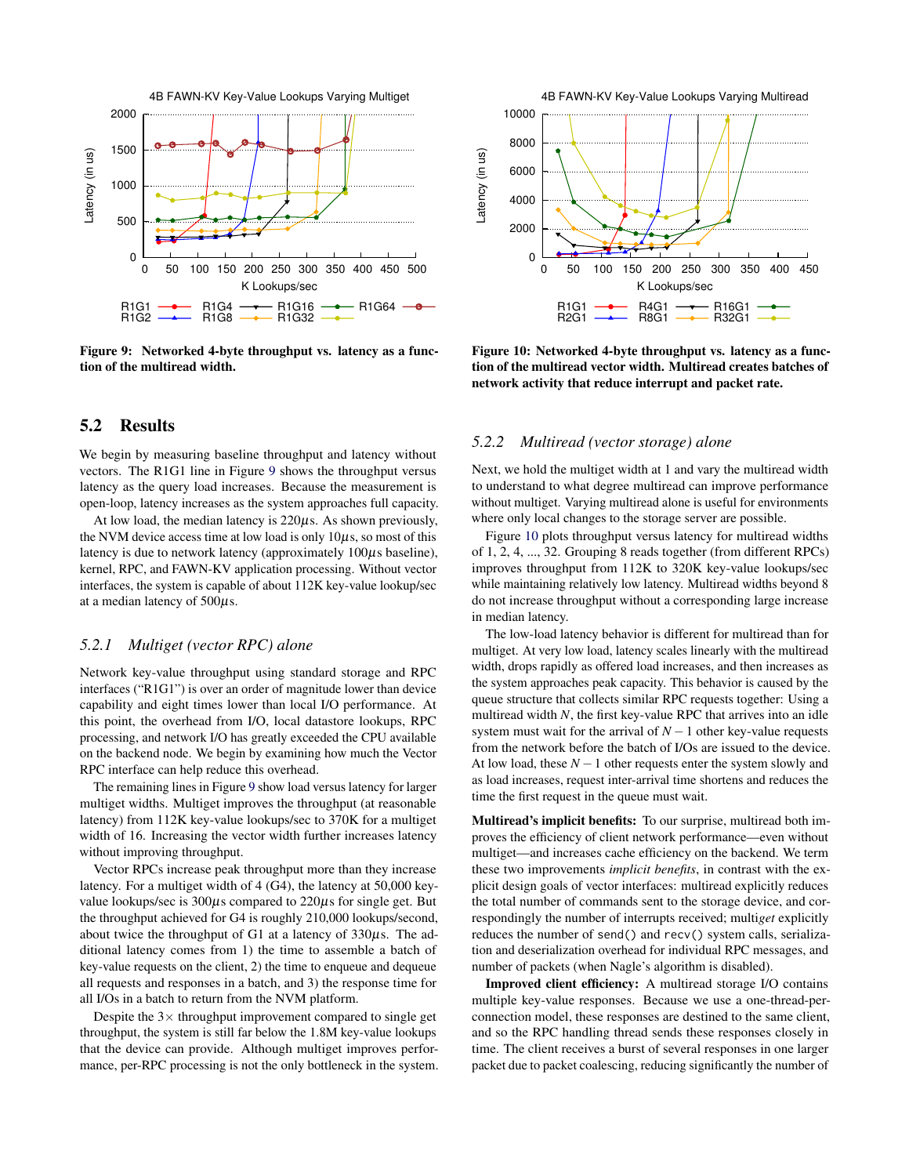<span id="page-6-0"></span>

Figure 9: Networked 4-byte throughput vs. latency as a function of the multiread width.

## 5.2 Results

We begin by measuring baseline throughput and latency without vectors. The R1G1 line in Figure [9](#page-6-0) shows the throughput versus latency as the query load increases. Because the measurement is open-loop, latency increases as the system approaches full capacity.

At low load, the median latency is  $220\mu s$ . As shown previously, the NVM device access time at low load is only  $10\mu s$ , so most of this latency is due to network latency (approximately  $100\mu s$  baseline), kernel, RPC, and FAWN-KV application processing. Without vector interfaces, the system is capable of about 112K key-value lookup/sec at a median latency of  $500\mu s$ .

#### *5.2.1 Multiget (vector RPC) alone*

Network key-value throughput using standard storage and RPC interfaces ("R1G1") is over an order of magnitude lower than device capability and eight times lower than local I/O performance. At this point, the overhead from I/O, local datastore lookups, RPC processing, and network I/O has greatly exceeded the CPU available on the backend node. We begin by examining how much the Vector RPC interface can help reduce this overhead.

The remaining lines in Figure [9](#page-6-0) show load versus latency for larger multiget widths. Multiget improves the throughput (at reasonable latency) from 112K key-value lookups/sec to 370K for a multiget width of 16. Increasing the vector width further increases latency without improving throughput.

Vector RPCs increase peak throughput more than they increase latency. For a multiget width of 4 (G4), the latency at 50,000 keyvalue lookups/sec is  $300\mu$ s compared to  $220\mu$ s for single get. But the throughput achieved for G4 is roughly 210,000 lookups/second, about twice the throughput of G1 at a latency of  $330\mu$ s. The additional latency comes from 1) the time to assemble a batch of key-value requests on the client, 2) the time to enqueue and dequeue all requests and responses in a batch, and 3) the response time for all I/Os in a batch to return from the NVM platform.

Despite the  $3\times$  throughput improvement compared to single get throughput, the system is still far below the 1.8M key-value lookups that the device can provide. Although multiget improves performance, per-RPC processing is not the only bottleneck in the system.

<span id="page-6-1"></span>

Figure 10: Networked 4-byte throughput vs. latency as a function of the multiread vector width. Multiread creates batches of network activity that reduce interrupt and packet rate.

#### <span id="page-6-2"></span>*5.2.2 Multiread (vector storage) alone*

Next, we hold the multiget width at 1 and vary the multiread width to understand to what degree multiread can improve performance without multiget. Varying multiread alone is useful for environments where only local changes to the storage server are possible.

Figure [10](#page-6-1) plots throughput versus latency for multiread widths of 1, 2, 4, ..., 32. Grouping 8 reads together (from different RPCs) improves throughput from 112K to 320K key-value lookups/sec while maintaining relatively low latency. Multiread widths beyond 8 do not increase throughput without a corresponding large increase in median latency.

The low-load latency behavior is different for multiread than for multiget. At very low load, latency scales linearly with the multiread width, drops rapidly as offered load increases, and then increases as the system approaches peak capacity. This behavior is caused by the queue structure that collects similar RPC requests together: Using a multiread width *N*, the first key-value RPC that arrives into an idle system must wait for the arrival of  $N-1$  other key-value requests from the network before the batch of I/Os are issued to the device. At low load, these *N* −1 other requests enter the system slowly and as load increases, request inter-arrival time shortens and reduces the time the first request in the queue must wait.

Multiread's implicit benefits: To our surprise, multiread both improves the efficiency of client network performance—even without multiget—and increases cache efficiency on the backend. We term these two improvements *implicit benefits*, in contrast with the explicit design goals of vector interfaces: multiread explicitly reduces the total number of commands sent to the storage device, and correspondingly the number of interrupts received; multi*get* explicitly reduces the number of send() and recv() system calls, serialization and deserialization overhead for individual RPC messages, and number of packets (when Nagle's algorithm is disabled).

Improved client efficiency: A multiread storage I/O contains multiple key-value responses. Because we use a one-thread-perconnection model, these responses are destined to the same client, and so the RPC handling thread sends these responses closely in time. The client receives a burst of several responses in one larger packet due to packet coalescing, reducing significantly the number of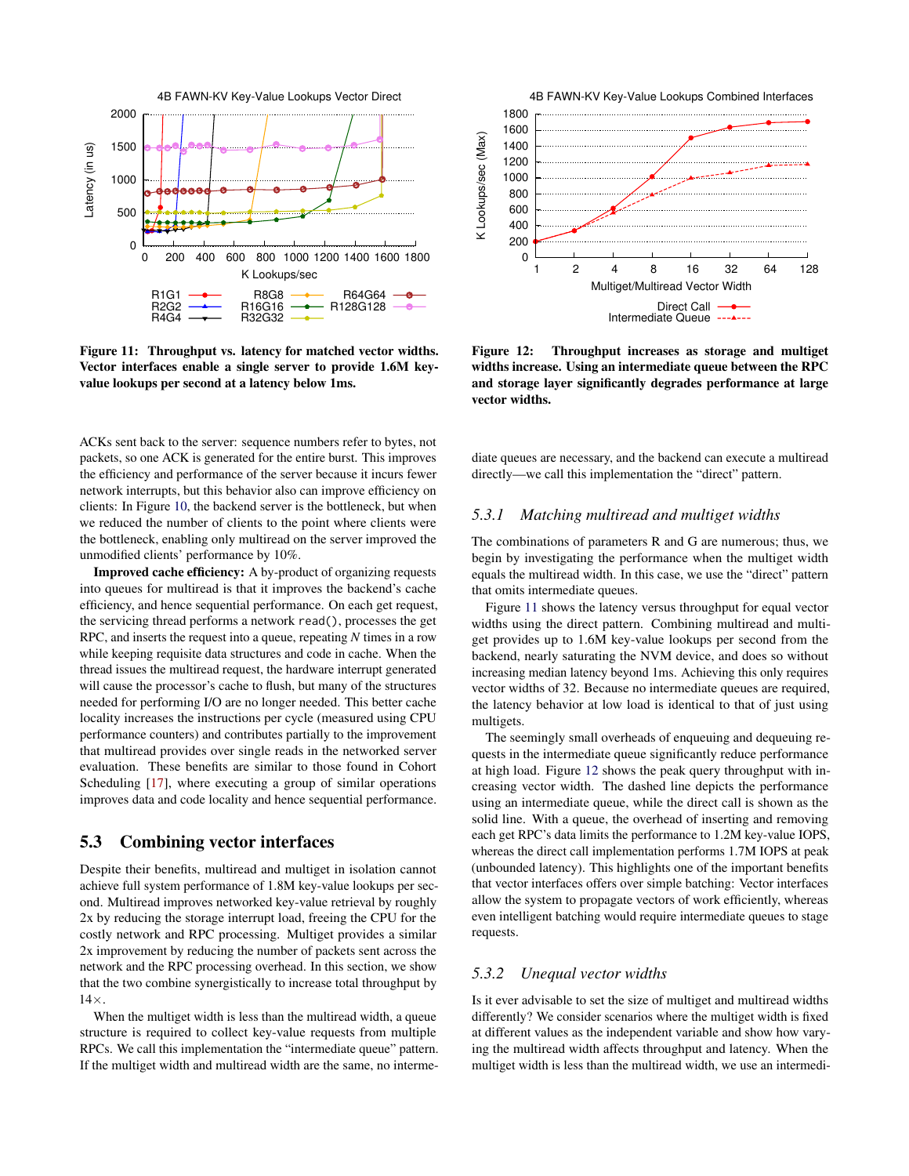<span id="page-7-0"></span>

Figure 11: Throughput vs. latency for matched vector widths. Vector interfaces enable a single server to provide 1.6M keyvalue lookups per second at a latency below 1ms.

ACKs sent back to the server: sequence numbers refer to bytes, not packets, so one ACK is generated for the entire burst. This improves the efficiency and performance of the server because it incurs fewer network interrupts, but this behavior also can improve efficiency on clients: In Figure [10,](#page-6-1) the backend server is the bottleneck, but when we reduced the number of clients to the point where clients were the bottleneck, enabling only multiread on the server improved the unmodified clients' performance by 10%.

Improved cache efficiency: A by-product of organizing requests into queues for multiread is that it improves the backend's cache efficiency, and hence sequential performance. On each get request, the servicing thread performs a network read(), processes the get RPC, and inserts the request into a queue, repeating *N* times in a row while keeping requisite data structures and code in cache. When the thread issues the multiread request, the hardware interrupt generated will cause the processor's cache to flush, but many of the structures needed for performing I/O are no longer needed. This better cache locality increases the instructions per cycle (measured using CPU performance counters) and contributes partially to the improvement that multiread provides over single reads in the networked server evaluation. These benefits are similar to those found in Cohort Scheduling [\[17\]](#page-11-12), where executing a group of similar operations improves data and code locality and hence sequential performance.

## 5.3 Combining vector interfaces

Despite their benefits, multiread and multiget in isolation cannot achieve full system performance of 1.8M key-value lookups per second. Multiread improves networked key-value retrieval by roughly 2x by reducing the storage interrupt load, freeing the CPU for the costly network and RPC processing. Multiget provides a similar 2x improvement by reducing the number of packets sent across the network and the RPC processing overhead. In this section, we show that the two combine synergistically to increase total throughput by 14×.

When the multiget width is less than the multiread width, a queue structure is required to collect key-value requests from multiple RPCs. We call this implementation the "intermediate queue" pattern. If the multiget width and multiread width are the same, no interme-

<span id="page-7-1"></span>

Figure 12: Throughput increases as storage and multiget widths increase. Using an intermediate queue between the RPC and storage layer significantly degrades performance at large vector widths.

diate queues are necessary, and the backend can execute a multiread directly—we call this implementation the "direct" pattern.

#### *5.3.1 Matching multiread and multiget widths*

The combinations of parameters R and G are numerous; thus, we begin by investigating the performance when the multiget width equals the multiread width. In this case, we use the "direct" pattern that omits intermediate queues.

Figure [11](#page-7-0) shows the latency versus throughput for equal vector widths using the direct pattern. Combining multiread and multiget provides up to 1.6M key-value lookups per second from the backend, nearly saturating the NVM device, and does so without increasing median latency beyond 1ms. Achieving this only requires vector widths of 32. Because no intermediate queues are required, the latency behavior at low load is identical to that of just using multigets.

The seemingly small overheads of enqueuing and dequeuing requests in the intermediate queue significantly reduce performance at high load. Figure [12](#page-7-1) shows the peak query throughput with increasing vector width. The dashed line depicts the performance using an intermediate queue, while the direct call is shown as the solid line. With a queue, the overhead of inserting and removing each get RPC's data limits the performance to 1.2M key-value IOPS, whereas the direct call implementation performs 1.7M IOPS at peak (unbounded latency). This highlights one of the important benefits that vector interfaces offers over simple batching: Vector interfaces allow the system to propagate vectors of work efficiently, whereas even intelligent batching would require intermediate queues to stage requests.

#### *5.3.2 Unequal vector widths*

Is it ever advisable to set the size of multiget and multiread widths differently? We consider scenarios where the multiget width is fixed at different values as the independent variable and show how varying the multiread width affects throughput and latency. When the multiget width is less than the multiread width, we use an intermedi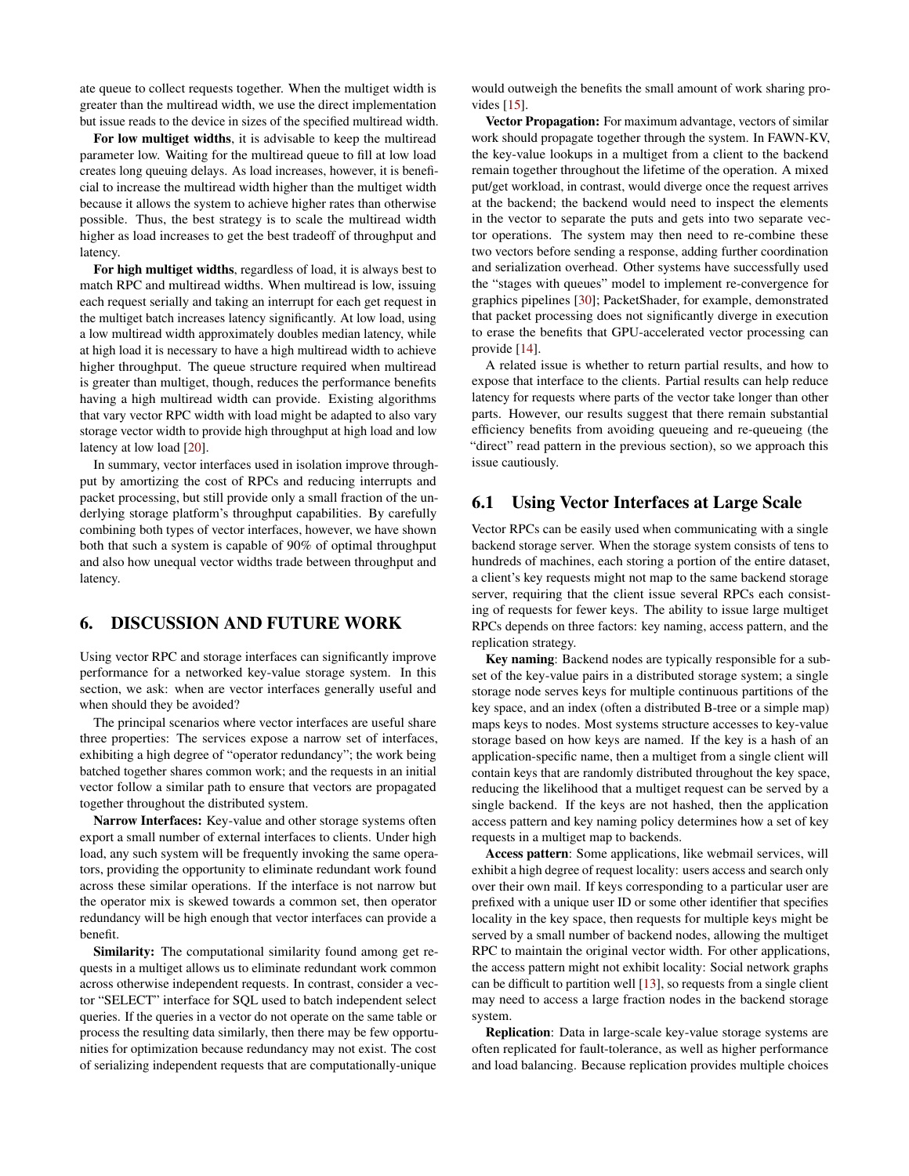ate queue to collect requests together. When the multiget width is greater than the multiread width, we use the direct implementation but issue reads to the device in sizes of the specified multiread width.

For low multiget widths, it is advisable to keep the multiread parameter low. Waiting for the multiread queue to fill at low load creates long queuing delays. As load increases, however, it is beneficial to increase the multiread width higher than the multiget width because it allows the system to achieve higher rates than otherwise possible. Thus, the best strategy is to scale the multiread width higher as load increases to get the best tradeoff of throughput and latency.

For high multiget widths, regardless of load, it is always best to match RPC and multiread widths. When multiread is low, issuing each request serially and taking an interrupt for each get request in the multiget batch increases latency significantly. At low load, using a low multiread width approximately doubles median latency, while at high load it is necessary to have a high multiread width to achieve higher throughput. The queue structure required when multiread is greater than multiget, though, reduces the performance benefits having a high multiread width can provide. Existing algorithms that vary vector RPC width with load might be adapted to also vary storage vector width to provide high throughput at high load and low latency at low load [\[20\]](#page-11-13).

In summary, vector interfaces used in isolation improve throughput by amortizing the cost of RPCs and reducing interrupts and packet processing, but still provide only a small fraction of the underlying storage platform's throughput capabilities. By carefully combining both types of vector interfaces, however, we have shown both that such a system is capable of 90% of optimal throughput and also how unequal vector widths trade between throughput and latency.

## 6. DISCUSSION AND FUTURE WORK

Using vector RPC and storage interfaces can significantly improve performance for a networked key-value storage system. In this section, we ask: when are vector interfaces generally useful and when should they be avoided?

The principal scenarios where vector interfaces are useful share three properties: The services expose a narrow set of interfaces, exhibiting a high degree of "operator redundancy"; the work being batched together shares common work; and the requests in an initial vector follow a similar path to ensure that vectors are propagated together throughout the distributed system.

Narrow Interfaces: Key-value and other storage systems often export a small number of external interfaces to clients. Under high load, any such system will be frequently invoking the same operators, providing the opportunity to eliminate redundant work found across these similar operations. If the interface is not narrow but the operator mix is skewed towards a common set, then operator redundancy will be high enough that vector interfaces can provide a benefit.

Similarity: The computational similarity found among get requests in a multiget allows us to eliminate redundant work common across otherwise independent requests. In contrast, consider a vector "SELECT" interface for SQL used to batch independent select queries. If the queries in a vector do not operate on the same table or process the resulting data similarly, then there may be few opportunities for optimization because redundancy may not exist. The cost of serializing independent requests that are computationally-unique

would outweigh the benefits the small amount of work sharing provides [\[15\]](#page-11-14).

Vector Propagation: For maximum advantage, vectors of similar work should propagate together through the system. In FAWN-KV, the key-value lookups in a multiget from a client to the backend remain together throughout the lifetime of the operation. A mixed put/get workload, in contrast, would diverge once the request arrives at the backend; the backend would need to inspect the elements in the vector to separate the puts and gets into two separate vector operations. The system may then need to re-combine these two vectors before sending a response, adding further coordination and serialization overhead. Other systems have successfully used the "stages with queues" model to implement re-convergence for graphics pipelines [\[30\]](#page-11-15); PacketShader, for example, demonstrated that packet processing does not significantly diverge in execution to erase the benefits that GPU-accelerated vector processing can provide [\[14\]](#page-11-16).

A related issue is whether to return partial results, and how to expose that interface to the clients. Partial results can help reduce latency for requests where parts of the vector take longer than other parts. However, our results suggest that there remain substantial efficiency benefits from avoiding queueing and re-queueing (the "direct" read pattern in the previous section), so we approach this issue cautiously.

## 6.1 Using Vector Interfaces at Large Scale

Vector RPCs can be easily used when communicating with a single backend storage server. When the storage system consists of tens to hundreds of machines, each storing a portion of the entire dataset, a client's key requests might not map to the same backend storage server, requiring that the client issue several RPCs each consisting of requests for fewer keys. The ability to issue large multiget RPCs depends on three factors: key naming, access pattern, and the replication strategy.

Key naming: Backend nodes are typically responsible for a subset of the key-value pairs in a distributed storage system; a single storage node serves keys for multiple continuous partitions of the key space, and an index (often a distributed B-tree or a simple map) maps keys to nodes. Most systems structure accesses to key-value storage based on how keys are named. If the key is a hash of an application-specific name, then a multiget from a single client will contain keys that are randomly distributed throughout the key space, reducing the likelihood that a multiget request can be served by a single backend. If the keys are not hashed, then the application access pattern and key naming policy determines how a set of key requests in a multiget map to backends.

Access pattern: Some applications, like webmail services, will exhibit a high degree of request locality: users access and search only over their own mail. If keys corresponding to a particular user are prefixed with a unique user ID or some other identifier that specifies locality in the key space, then requests for multiple keys might be served by a small number of backend nodes, allowing the multiget RPC to maintain the original vector width. For other applications, the access pattern might not exhibit locality: Social network graphs can be difficult to partition well [\[13\]](#page-11-17), so requests from a single client may need to access a large fraction nodes in the backend storage system.

Replication: Data in large-scale key-value storage systems are often replicated for fault-tolerance, as well as higher performance and load balancing. Because replication provides multiple choices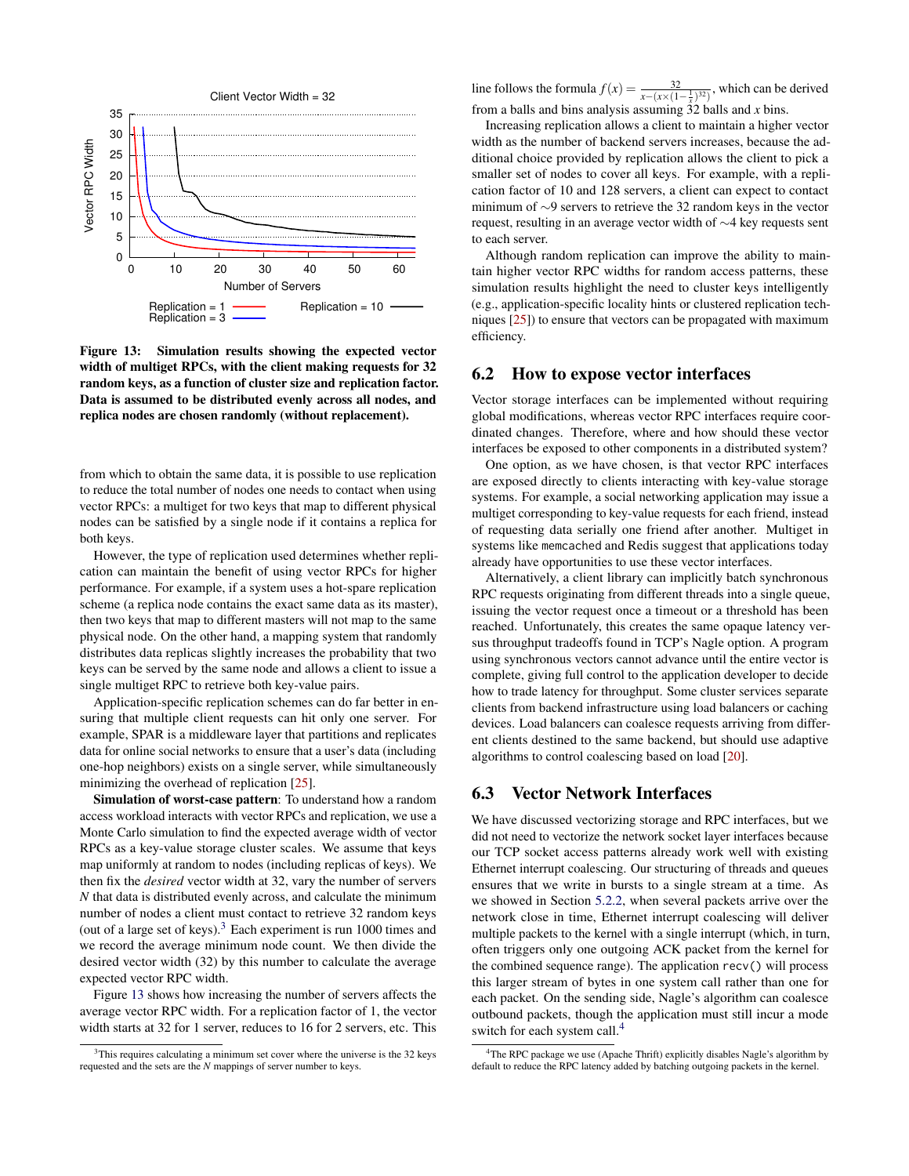<span id="page-9-1"></span>

Figure 13: Simulation results showing the expected vector width of multiget RPCs, with the client making requests for 32 random keys, as a function of cluster size and replication factor. Data is assumed to be distributed evenly across all nodes, and replica nodes are chosen randomly (without replacement).

from which to obtain the same data, it is possible to use replication to reduce the total number of nodes one needs to contact when using vector RPCs: a multiget for two keys that map to different physical nodes can be satisfied by a single node if it contains a replica for both keys.

However, the type of replication used determines whether replication can maintain the benefit of using vector RPCs for higher performance. For example, if a system uses a hot-spare replication scheme (a replica node contains the exact same data as its master), then two keys that map to different masters will not map to the same physical node. On the other hand, a mapping system that randomly distributes data replicas slightly increases the probability that two keys can be served by the same node and allows a client to issue a single multiget RPC to retrieve both key-value pairs.

Application-specific replication schemes can do far better in ensuring that multiple client requests can hit only one server. For example, SPAR is a middleware layer that partitions and replicates data for online social networks to ensure that a user's data (including one-hop neighbors) exists on a single server, while simultaneously minimizing the overhead of replication [\[25\]](#page-11-18).

Simulation of worst-case pattern: To understand how a random access workload interacts with vector RPCs and replication, we use a Monte Carlo simulation to find the expected average width of vector RPCs as a key-value storage cluster scales. We assume that keys map uniformly at random to nodes (including replicas of keys). We then fix the *desired* vector width at 32, vary the number of servers *N* that data is distributed evenly across, and calculate the minimum number of nodes a client must contact to retrieve 32 random keys (out of a large set of keys).[3](#page-9-0) Each experiment is run 1000 times and we record the average minimum node count. We then divide the desired vector width (32) by this number to calculate the average expected vector RPC width.

Figure [13](#page-9-1) shows how increasing the number of servers affects the average vector RPC width. For a replication factor of 1, the vector width starts at 32 for 1 server, reduces to 16 for 2 servers, etc. This line follows the formula  $f(x) = \frac{32}{x - (x \times (1 - \frac{1}{x})^{32})}$ , which can be derived from a balls and bins analysis assuming 32 balls and *x* bins.

Increasing replication allows a client to maintain a higher vector width as the number of backend servers increases, because the additional choice provided by replication allows the client to pick a smaller set of nodes to cover all keys. For example, with a replication factor of 10 and 128 servers, a client can expect to contact minimum of ∼9 servers to retrieve the 32 random keys in the vector request, resulting in an average vector width of ∼4 key requests sent to each server.

Although random replication can improve the ability to maintain higher vector RPC widths for random access patterns, these simulation results highlight the need to cluster keys intelligently (e.g., application-specific locality hints or clustered replication techniques [\[25\]](#page-11-18)) to ensure that vectors can be propagated with maximum efficiency.

#### 6.2 How to expose vector interfaces

Vector storage interfaces can be implemented without requiring global modifications, whereas vector RPC interfaces require coordinated changes. Therefore, where and how should these vector interfaces be exposed to other components in a distributed system?

One option, as we have chosen, is that vector RPC interfaces are exposed directly to clients interacting with key-value storage systems. For example, a social networking application may issue a multiget corresponding to key-value requests for each friend, instead of requesting data serially one friend after another. Multiget in systems like memcached and Redis suggest that applications today already have opportunities to use these vector interfaces.

Alternatively, a client library can implicitly batch synchronous RPC requests originating from different threads into a single queue, issuing the vector request once a timeout or a threshold has been reached. Unfortunately, this creates the same opaque latency versus throughput tradeoffs found in TCP's Nagle option. A program using synchronous vectors cannot advance until the entire vector is complete, giving full control to the application developer to decide how to trade latency for throughput. Some cluster services separate clients from backend infrastructure using load balancers or caching devices. Load balancers can coalesce requests arriving from different clients destined to the same backend, but should use adaptive algorithms to control coalescing based on load [\[20\]](#page-11-13).

# 6.3 Vector Network Interfaces

We have discussed vectorizing storage and RPC interfaces, but we did not need to vectorize the network socket layer interfaces because our TCP socket access patterns already work well with existing Ethernet interrupt coalescing. Our structuring of threads and queues ensures that we write in bursts to a single stream at a time. As we showed in Section [5.2.2,](#page-6-2) when several packets arrive over the network close in time, Ethernet interrupt coalescing will deliver multiple packets to the kernel with a single interrupt (which, in turn, often triggers only one outgoing ACK packet from the kernel for the combined sequence range). The application recv() will process this larger stream of bytes in one system call rather than one for each packet. On the sending side, Nagle's algorithm can coalesce outbound packets, though the application must still incur a mode switch for each system call.<sup>[4](#page-9-2)</sup>

<span id="page-9-0"></span><sup>&</sup>lt;sup>3</sup>This requires calculating a minimum set cover where the universe is the 32 keys requested and the sets are the *N* mappings of server number to keys.

<span id="page-9-2"></span><sup>&</sup>lt;sup>4</sup>The RPC package we use (Apache Thrift) explicitly disables Nagle's algorithm by default to reduce the RPC latency added by batching outgoing packets in the kernel.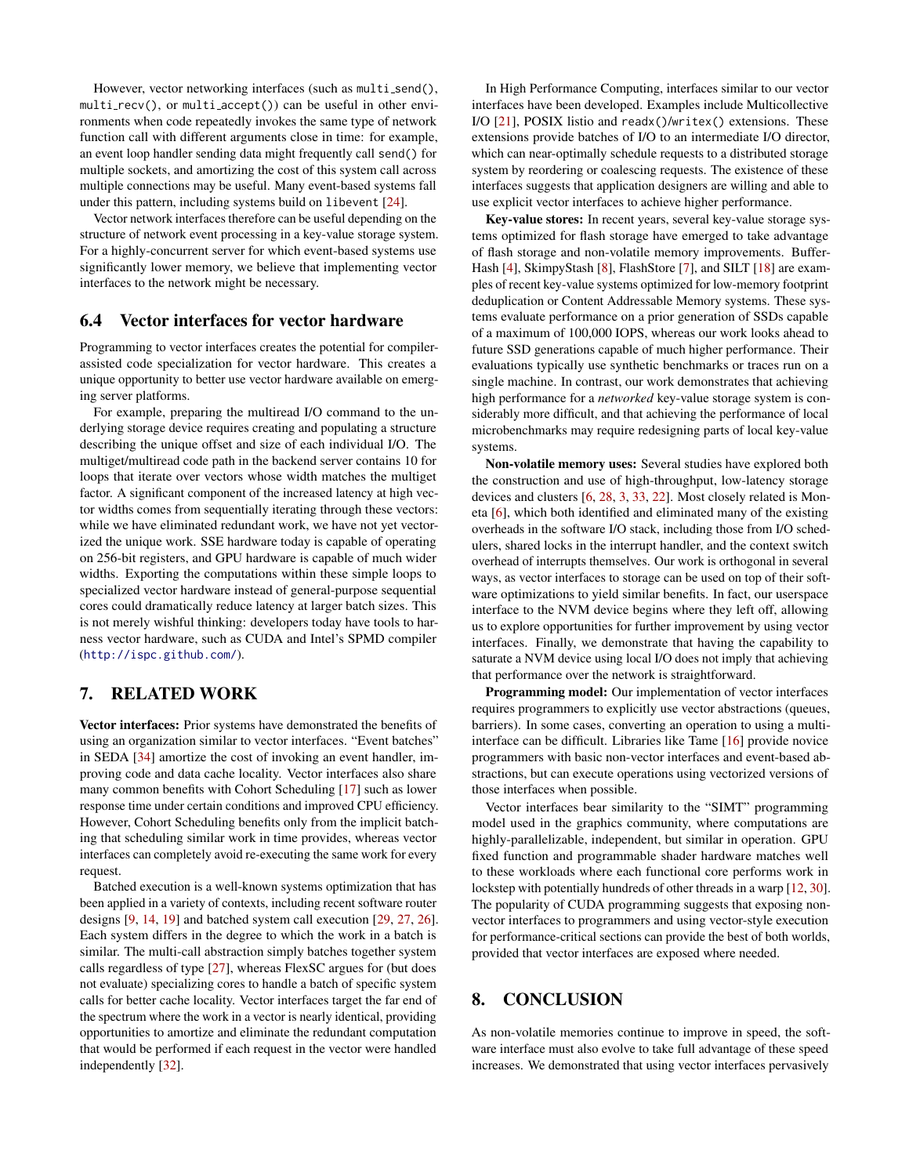However, vector networking interfaces (such as multi\_send(), multi\_recv(), or multi\_accept()) can be useful in other environments when code repeatedly invokes the same type of network function call with different arguments close in time: for example, an event loop handler sending data might frequently call send() for multiple sockets, and amortizing the cost of this system call across multiple connections may be useful. Many event-based systems fall under this pattern, including systems build on libevent [\[24\]](#page-11-19).

Vector network interfaces therefore can be useful depending on the structure of network event processing in a key-value storage system. For a highly-concurrent server for which event-based systems use significantly lower memory, we believe that implementing vector interfaces to the network might be necessary.

#### 6.4 Vector interfaces for vector hardware

Programming to vector interfaces creates the potential for compilerassisted code specialization for vector hardware. This creates a unique opportunity to better use vector hardware available on emerging server platforms.

For example, preparing the multiread I/O command to the underlying storage device requires creating and populating a structure describing the unique offset and size of each individual I/O. The multiget/multiread code path in the backend server contains 10 for loops that iterate over vectors whose width matches the multiget factor. A significant component of the increased latency at high vector widths comes from sequentially iterating through these vectors: while we have eliminated redundant work, we have not yet vectorized the unique work. SSE hardware today is capable of operating on 256-bit registers, and GPU hardware is capable of much wider widths. Exporting the computations within these simple loops to specialized vector hardware instead of general-purpose sequential cores could dramatically reduce latency at larger batch sizes. This is not merely wishful thinking: developers today have tools to harness vector hardware, such as CUDA and Intel's SPMD compiler (<http://ispc.github.com/>).

# 7. RELATED WORK

Vector interfaces: Prior systems have demonstrated the benefits of using an organization similar to vector interfaces. "Event batches" in SEDA [\[34\]](#page-12-0) amortize the cost of invoking an event handler, improving code and data cache locality. Vector interfaces also share many common benefits with Cohort Scheduling [\[17\]](#page-11-12) such as lower response time under certain conditions and improved CPU efficiency. However, Cohort Scheduling benefits only from the implicit batching that scheduling similar work in time provides, whereas vector interfaces can completely avoid re-executing the same work for every request.

Batched execution is a well-known systems optimization that has been applied in a variety of contexts, including recent software router designs [\[9,](#page-11-20) [14,](#page-11-16) [19\]](#page-11-21) and batched system call execution [\[29,](#page-11-22) [27,](#page-11-23) [26\]](#page-11-24). Each system differs in the degree to which the work in a batch is similar. The multi-call abstraction simply batches together system calls regardless of type [\[27\]](#page-11-23), whereas FlexSC argues for (but does not evaluate) specializing cores to handle a batch of specific system calls for better cache locality. Vector interfaces target the far end of the spectrum where the work in a vector is nearly identical, providing opportunities to amortize and eliminate the redundant computation that would be performed if each request in the vector were handled independently [\[32\]](#page-12-1).

In High Performance Computing, interfaces similar to our vector interfaces have been developed. Examples include Multicollective I/O [\[21\]](#page-11-25), POSIX listio and readx()/writex() extensions. These extensions provide batches of I/O to an intermediate I/O director, which can near-optimally schedule requests to a distributed storage system by reordering or coalescing requests. The existence of these interfaces suggests that application designers are willing and able to use explicit vector interfaces to achieve higher performance.

Key-value stores: In recent years, several key-value storage systems optimized for flash storage have emerged to take advantage of flash storage and non-volatile memory improvements. Buffer-Hash [\[4\]](#page-11-2), SkimpyStash [\[8\]](#page-11-4), FlashStore [\[7\]](#page-11-3), and SILT [\[18\]](#page-11-26) are examples of recent key-value systems optimized for low-memory footprint deduplication or Content Addressable Memory systems. These systems evaluate performance on a prior generation of SSDs capable of a maximum of 100,000 IOPS, whereas our work looks ahead to future SSD generations capable of much higher performance. Their evaluations typically use synthetic benchmarks or traces run on a single machine. In contrast, our work demonstrates that achieving high performance for a *networked* key-value storage system is considerably more difficult, and that achieving the performance of local microbenchmarks may require redesigning parts of local key-value systems.

Non-volatile memory uses: Several studies have explored both the construction and use of high-throughput, low-latency storage devices and clusters [\[6,](#page-11-7) [28,](#page-11-27) [3,](#page-11-6) [33,](#page-12-2) [22\]](#page-11-28). Most closely related is Moneta [\[6\]](#page-11-7), which both identified and eliminated many of the existing overheads in the software I/O stack, including those from I/O schedulers, shared locks in the interrupt handler, and the context switch overhead of interrupts themselves. Our work is orthogonal in several ways, as vector interfaces to storage can be used on top of their software optimizations to yield similar benefits. In fact, our userspace interface to the NVM device begins where they left off, allowing us to explore opportunities for further improvement by using vector interfaces. Finally, we demonstrate that having the capability to saturate a NVM device using local I/O does not imply that achieving that performance over the network is straightforward.

Programming model: Our implementation of vector interfaces requires programmers to explicitly use vector abstractions (queues, barriers). In some cases, converting an operation to using a multiinterface can be difficult. Libraries like Tame [\[16\]](#page-11-29) provide novice programmers with basic non-vector interfaces and event-based abstractions, but can execute operations using vectorized versions of those interfaces when possible.

Vector interfaces bear similarity to the "SIMT" programming model used in the graphics community, where computations are highly-parallelizable, independent, but similar in operation. GPU fixed function and programmable shader hardware matches well to these workloads where each functional core performs work in lockstep with potentially hundreds of other threads in a warp [\[12,](#page-11-30) [30\]](#page-11-15). The popularity of CUDA programming suggests that exposing nonvector interfaces to programmers and using vector-style execution for performance-critical sections can provide the best of both worlds, provided that vector interfaces are exposed where needed.

# 8. CONCLUSION

As non-volatile memories continue to improve in speed, the software interface must also evolve to take full advantage of these speed increases. We demonstrated that using vector interfaces pervasively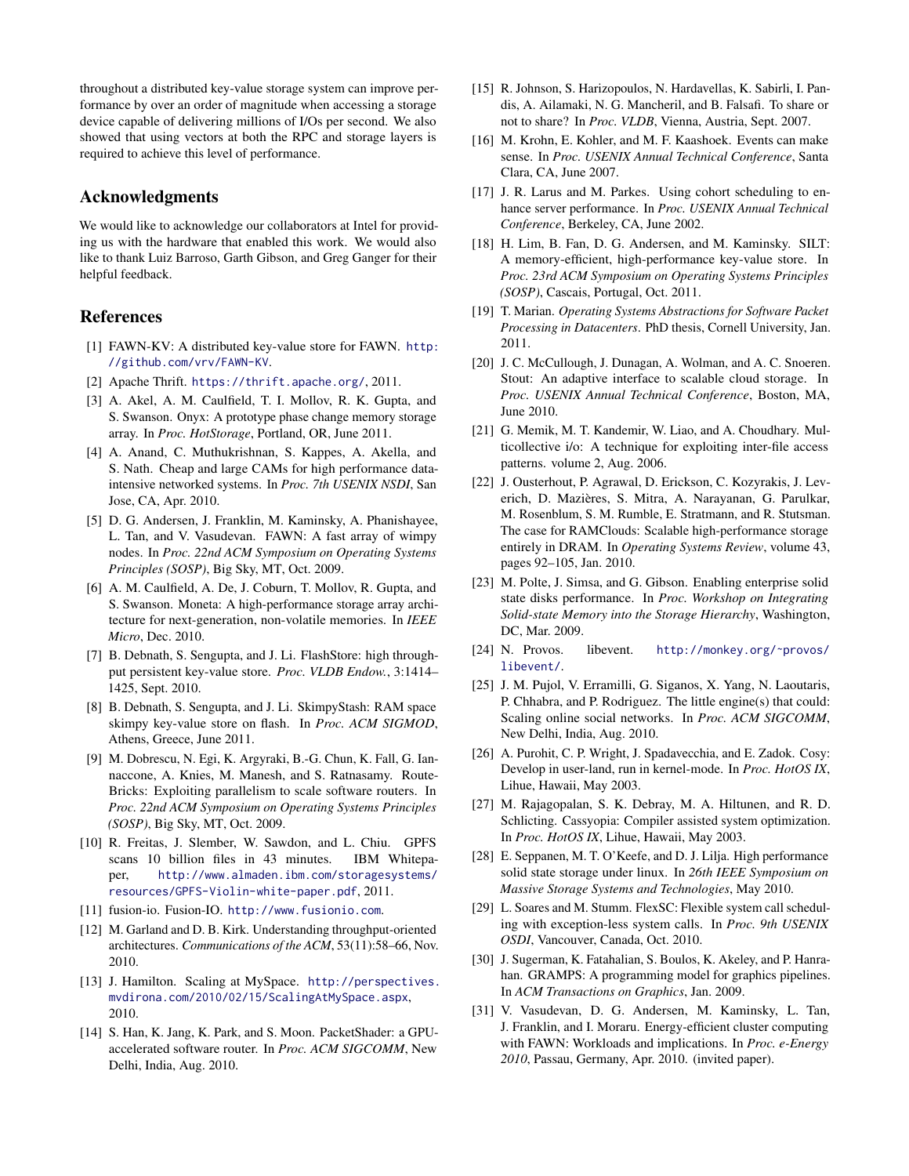throughout a distributed key-value storage system can improve performance by over an order of magnitude when accessing a storage device capable of delivering millions of I/Os per second. We also showed that using vectors at both the RPC and storage layers is required to achieve this level of performance.

## Acknowledgments

We would like to acknowledge our collaborators at Intel for providing us with the hardware that enabled this work. We would also like to thank Luiz Barroso, Garth Gibson, and Greg Ganger for their helpful feedback.

#### References

- <span id="page-11-8"></span>[1] FAWN-KV: A distributed key-value store for FAWN. [http:](http://github.com/vrv/FAWN-KV) [//github.com/vrv/FAWN-KV](http://github.com/vrv/FAWN-KV).
- <span id="page-11-10"></span>[2] Apache Thrift. <https://thrift.apache.org/>, 2011.
- <span id="page-11-6"></span>[3] A. Akel, A. M. Caulfield, T. I. Mollov, R. K. Gupta, and S. Swanson. Onyx: A prototype phase change memory storage array. In *Proc. HotStorage*, Portland, OR, June 2011.
- <span id="page-11-2"></span>[4] A. Anand, C. Muthukrishnan, S. Kappes, A. Akella, and S. Nath. Cheap and large CAMs for high performance dataintensive networked systems. In *Proc. 7th USENIX NSDI*, San Jose, CA, Apr. 2010.
- <span id="page-11-1"></span>[5] D. G. Andersen, J. Franklin, M. Kaminsky, A. Phanishayee, L. Tan, and V. Vasudevan. FAWN: A fast array of wimpy nodes. In *Proc. 22nd ACM Symposium on Operating Systems Principles (SOSP)*, Big Sky, MT, Oct. 2009.
- <span id="page-11-7"></span>[6] A. M. Caulfield, A. De, J. Coburn, T. Mollov, R. Gupta, and S. Swanson. Moneta: A high-performance storage array architecture for next-generation, non-volatile memories. In *IEEE Micro*, Dec. 2010.
- <span id="page-11-3"></span>[7] B. Debnath, S. Sengupta, and J. Li. FlashStore: high throughput persistent key-value store. *Proc. VLDB Endow.*, 3:1414– 1425, Sept. 2010.
- <span id="page-11-4"></span>[8] B. Debnath, S. Sengupta, and J. Li. SkimpyStash: RAM space skimpy key-value store on flash. In *Proc. ACM SIGMOD*, Athens, Greece, June 2011.
- <span id="page-11-20"></span>[9] M. Dobrescu, N. Egi, K. Argyraki, B.-G. Chun, K. Fall, G. Iannaccone, A. Knies, M. Manesh, and S. Ratnasamy. Route-Bricks: Exploiting parallelism to scale software routers. In *Proc. 22nd ACM Symposium on Operating Systems Principles (SOSP)*, Big Sky, MT, Oct. 2009.
- <span id="page-11-9"></span>[10] R. Freitas, J. Slember, W. Sawdon, and L. Chiu. GPFS scans 10 billion files in 43 minutes. IBM Whitepaper, [http://www.almaden.ibm.com/storagesystems/](http://www.almaden.ibm.com/storagesystems/resources/GPFS-Violin-white-paper.pdf) [resources/GPFS-Violin-white-paper.pdf](http://www.almaden.ibm.com/storagesystems/resources/GPFS-Violin-white-paper.pdf), 2011.
- <span id="page-11-0"></span>[11] fusion-io. Fusion-IO. <http://www.fusionio.com>.
- <span id="page-11-30"></span>[12] M. Garland and D. B. Kirk. Understanding throughput-oriented architectures. *Communications of the ACM*, 53(11):58–66, Nov. 2010.
- <span id="page-11-17"></span>[13] J. Hamilton. Scaling at MySpace. [http://perspectives.](http://perspectives.mvdirona.com/2010/02/15/ScalingAtMySpace.aspx) [mvdirona.com/2010/02/15/ScalingAtMySpace.aspx](http://perspectives.mvdirona.com/2010/02/15/ScalingAtMySpace.aspx), 2010.
- <span id="page-11-16"></span>[14] S. Han, K. Jang, K. Park, and S. Moon. PacketShader: a GPUaccelerated software router. In *Proc. ACM SIGCOMM*, New Delhi, India, Aug. 2010.
- <span id="page-11-14"></span>[15] R. Johnson, S. Harizopoulos, N. Hardavellas, K. Sabirli, I. Pandis, A. Ailamaki, N. G. Mancheril, and B. Falsafi. To share or not to share? In *Proc. VLDB*, Vienna, Austria, Sept. 2007.
- <span id="page-11-29"></span>[16] M. Krohn, E. Kohler, and M. F. Kaashoek. Events can make sense. In *Proc. USENIX Annual Technical Conference*, Santa Clara, CA, June 2007.
- <span id="page-11-12"></span>[17] J. R. Larus and M. Parkes. Using cohort scheduling to enhance server performance. In *Proc. USENIX Annual Technical Conference*, Berkeley, CA, June 2002.
- <span id="page-11-26"></span>[18] H. Lim, B. Fan, D. G. Andersen, and M. Kaminsky. SILT: A memory-efficient, high-performance key-value store. In *Proc. 23rd ACM Symposium on Operating Systems Principles (SOSP)*, Cascais, Portugal, Oct. 2011.
- <span id="page-11-21"></span>[19] T. Marian. *Operating Systems Abstractions for Software Packet Processing in Datacenters*. PhD thesis, Cornell University, Jan. 2011.
- <span id="page-11-13"></span>[20] J. C. McCullough, J. Dunagan, A. Wolman, and A. C. Snoeren. Stout: An adaptive interface to scalable cloud storage. In *Proc. USENIX Annual Technical Conference*, Boston, MA, June 2010.
- <span id="page-11-25"></span>[21] G. Memik, M. T. Kandemir, W. Liao, and A. Choudhary. Multicollective i/o: A technique for exploiting inter-file access patterns. volume 2, Aug. 2006.
- <span id="page-11-28"></span>[22] J. Ousterhout, P. Agrawal, D. Erickson, C. Kozyrakis, J. Leverich, D. Mazières, S. Mitra, A. Narayanan, G. Parulkar, M. Rosenblum, S. M. Rumble, E. Stratmann, and R. Stutsman. The case for RAMClouds: Scalable high-performance storage entirely in DRAM. In *Operating Systems Review*, volume 43, pages 92–105, Jan. 2010.
- <span id="page-11-11"></span>[23] M. Polte, J. Simsa, and G. Gibson. Enabling enterprise solid state disks performance. In *Proc. Workshop on Integrating Solid-state Memory into the Storage Hierarchy*, Washington, DC, Mar. 2009.
- <span id="page-11-19"></span>[24] N. Provos. libevent. [http://monkey.org/˜provos/](http://monkey.org/~provos/libevent/) [libevent/](http://monkey.org/~provos/libevent/).
- <span id="page-11-18"></span>[25] J. M. Pujol, V. Erramilli, G. Siganos, X. Yang, N. Laoutaris, P. Chhabra, and P. Rodriguez. The little engine(s) that could: Scaling online social networks. In *Proc. ACM SIGCOMM*, New Delhi, India, Aug. 2010.
- <span id="page-11-24"></span>[26] A. Purohit, C. P. Wright, J. Spadavecchia, and E. Zadok. Cosy: Develop in user-land, run in kernel-mode. In *Proc. HotOS IX*, Lihue, Hawaii, May 2003.
- <span id="page-11-23"></span>[27] M. Rajagopalan, S. K. Debray, M. A. Hiltunen, and R. D. Schlicting. Cassyopia: Compiler assisted system optimization. In *Proc. HotOS IX*, Lihue, Hawaii, May 2003.
- <span id="page-11-27"></span>[28] E. Seppanen, M. T. O'Keefe, and D. J. Lilja. High performance solid state storage under linux. In *26th IEEE Symposium on Massive Storage Systems and Technologies*, May 2010.
- <span id="page-11-22"></span>[29] L. Soares and M. Stumm. FlexSC: Flexible system call scheduling with exception-less system calls. In *Proc. 9th USENIX OSDI*, Vancouver, Canada, Oct. 2010.
- <span id="page-11-15"></span>[30] J. Sugerman, K. Fatahalian, S. Boulos, K. Akeley, and P. Hanrahan. GRAMPS: A programming model for graphics pipelines. In *ACM Transactions on Graphics*, Jan. 2009.
- <span id="page-11-5"></span>[31] V. Vasudevan, D. G. Andersen, M. Kaminsky, L. Tan, J. Franklin, and I. Moraru. Energy-efficient cluster computing with FAWN: Workloads and implications. In *Proc. e-Energy 2010*, Passau, Germany, Apr. 2010. (invited paper).